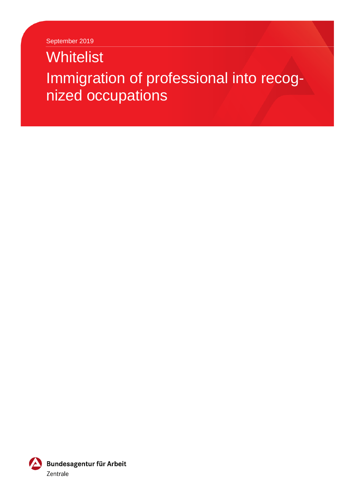September 2019

# **Whitelist** Immigration of professional into recognized occupations

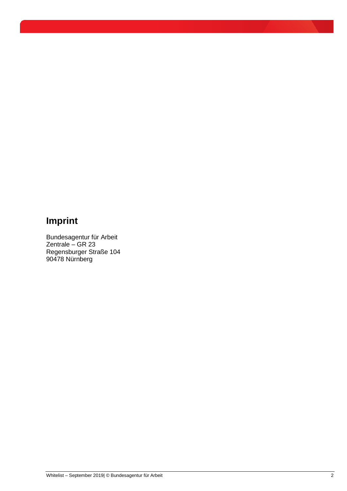## **Imprint**

Bundesagentur für Arbeit Zentrale – GR 23 Regensburger Straße 104 90478 Nürnberg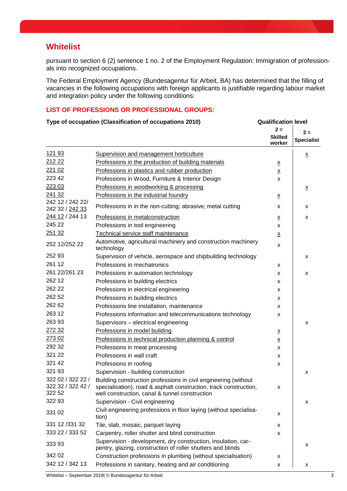### **Whitelist**

pursuant to section 6 (2) sentence 1 no. 2 of the Employment Regulation: Immigration of professionals into recognized occupations.

The Federal Employment Agency (Bundesagentur für Arbeit, BA) has determined that the filling of vacancies in the following occupations with foreign applicants is justifiable regarding labour market and integration policy under the following conditions:

#### **LIST OF PROFESSIONS OR PROFESSIONAL GROUPS:**

| Type of occupation (Classification of occupations 2010) |                                                                                                                                                                                        | <b>Qualification level</b>        |                            |
|---------------------------------------------------------|----------------------------------------------------------------------------------------------------------------------------------------------------------------------------------------|-----------------------------------|----------------------------|
|                                                         |                                                                                                                                                                                        | $2 =$<br><b>Skilled</b><br>worker | $3 =$<br><b>Specialist</b> |
| 121 93                                                  | Supervision and management horticulture                                                                                                                                                |                                   | $\underline{\mathsf{X}}$   |
| 212 22                                                  | Professions in the production of building materials                                                                                                                                    | $\underline{\mathbf{x}}$          |                            |
| 221 02                                                  | Professions in plastics and rubber production                                                                                                                                          | $\underline{\mathsf{X}}$          |                            |
| 223 42                                                  | Professions in Wood, Furniture & Interior Design                                                                                                                                       | X                                 |                            |
| 223 03                                                  | Professions in woodworking & processing                                                                                                                                                |                                   | $\underline{x}$            |
| 241 32                                                  | Professions in the industrial foundry                                                                                                                                                  | $\underline{x}$                   |                            |
| 242 12 / 242 22/<br>242 32 / 242 33                     | Professions in in the non-cutting; abrasive; metal cutting                                                                                                                             | X                                 | x                          |
| 244 12 / 244 13                                         | Professions in metalconstruction                                                                                                                                                       | $\underline{x}$                   | x                          |
| 245 22                                                  | Professions in tool engineering                                                                                                                                                        | X                                 |                            |
| 251 32                                                  | Technical service staff maintenance                                                                                                                                                    | $\underline{\mathsf{X}}$          |                            |
| 252 12/252 22                                           | Automotive, agricultural machinery and construction machinery<br>technology                                                                                                            | X                                 |                            |
| 252 93                                                  | Supervision of vehicle, aerospace and shipbuilding technology                                                                                                                          |                                   | X                          |
| 261 12                                                  | Professions in mechatronics                                                                                                                                                            | X                                 |                            |
| 261 22/261 23                                           | Professions in automation technology                                                                                                                                                   | X                                 | X                          |
| 262 12                                                  | Professions in building electrics                                                                                                                                                      | X                                 |                            |
| 262 22                                                  | Professions in electrical engineering                                                                                                                                                  | X                                 |                            |
| 262 52                                                  | Professions in building electrics                                                                                                                                                      | X                                 |                            |
| 262 62                                                  | Professions line installation, maintenance                                                                                                                                             | X                                 |                            |
| 263 12                                                  | Professions information and telecommunications technology                                                                                                                              | X                                 |                            |
| 263 93                                                  | Supervisors - electrical engineering                                                                                                                                                   |                                   | x                          |
| 272 32                                                  | Professions in model building                                                                                                                                                          | $\underline{\mathsf{X}}$          |                            |
| 273 02                                                  | Professions in technical production planning & control                                                                                                                                 | $\underline{\mathsf{X}}$          |                            |
| 292 32                                                  | Professions in meat processing                                                                                                                                                         | X                                 |                            |
| 321 22                                                  | Professions in wall craft                                                                                                                                                              | X                                 |                            |
| 321 42                                                  | Professions in roofing                                                                                                                                                                 | X                                 |                            |
| 321 93                                                  | Supervision - building construction                                                                                                                                                    |                                   | X                          |
| 322 02 / 322 22 /<br>322 32 / 322 42 /<br>322 52        | Building construction professions in civil engineering (without<br>specialisation), road & asphalt construction, track construction,<br>well construction, canal & tunnel construction | X                                 |                            |
| 322 93                                                  | Supervision - Civil engineering                                                                                                                                                        |                                   | x                          |
| 331 02                                                  | Civil engineering professions in floor laying (without specialisa-<br>tion)                                                                                                            | X                                 |                            |
| 331 12 / 331 32                                         | Tile, slab, mosaic, parquet laying                                                                                                                                                     | X                                 |                            |
| 333 22 / 333 52                                         | Carpentry, roller shutter and blind construction                                                                                                                                       | X                                 |                            |
| 333 93                                                  | Supervision - development, dry construction, insulation, car-<br>pentry, glazing, construction of roller shutters and blinds                                                           |                                   | x                          |
| 342 02                                                  | Construction professions in plumbing (without specialisation)                                                                                                                          | x                                 |                            |
| 342 12 / 342 13                                         | Professions in sanitary, heating and air conditioning                                                                                                                                  | X                                 | x                          |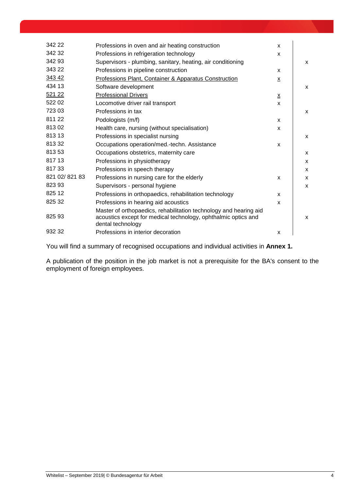| 342 22        | Professions in oven and air heating construction                                                                                                         | X               |              |
|---------------|----------------------------------------------------------------------------------------------------------------------------------------------------------|-----------------|--------------|
| 342 32        | Professions in refrigeration technology                                                                                                                  | $\mathsf{x}$    |              |
| 342 93        | Supervisors - plumbing, sanitary, heating, air conditioning                                                                                              |                 | X            |
| 343 22        | Professions in pipeline construction                                                                                                                     | X               |              |
| 343 42        | Professions Plant, Container & Apparatus Construction                                                                                                    | x               |              |
| 434 13        | Software development                                                                                                                                     |                 | $\mathsf{x}$ |
| 521 22        | <b>Professional Drivers</b>                                                                                                                              | $\underline{x}$ |              |
| 522 02        | Locomotive driver rail transport                                                                                                                         | X               |              |
| 723 03        | Professions in tax                                                                                                                                       |                 | $\mathsf{x}$ |
| 811 22        | Podologists (m/f)                                                                                                                                        | $\mathsf{x}$    |              |
| 81302         | Health care, nursing (without specialisation)                                                                                                            | X               |              |
| 813 13        | Professions in specialist nursing                                                                                                                        |                 | X            |
| 81332         | Occupations operation/med.-techn. Assistance                                                                                                             | X               |              |
| 813 53        | Occupations obstetrics, maternity care                                                                                                                   |                 | X            |
| 817 13        | Professions in physiotherapy                                                                                                                             |                 | X            |
| 81733         | Professions in speech therapy                                                                                                                            |                 | X            |
| 821 02/821 83 | Professions in nursing care for the elderly                                                                                                              | X               | X            |
| 823 93        | Supervisors - personal hygiene                                                                                                                           |                 | X            |
| 825 12        | Professions in orthopaedics, rehabilitation technology                                                                                                   | X               |              |
| 825 32        | Professions in hearing aid acoustics                                                                                                                     | X               |              |
| 825 93        | Master of orthopaedics, rehabilitation technology and hearing aid<br>acoustics except for medical technology, ophthalmic optics and<br>dental technology |                 | X            |
| 932 32        | Professions in interior decoration                                                                                                                       | X               |              |

You will find a summary of recognised occupations and individual activities in **Annex 1.**

A publication of the position in the job market is not a prerequisite for the BA's consent to the employment of foreign employees.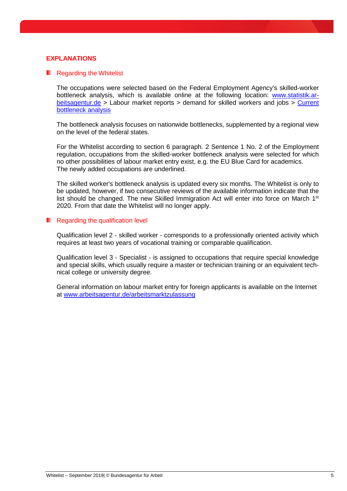#### **EXPLANATIONS**

#### **Regarding the Whitelist**

The occupations were selected based on the Federal Employment Agency's skilled-worker bottleneck analysis, which is available online at the following location: [www.statistik.ar](http://www.statistik.arbeitsagentur.de/)[beitsagentur.de](http://www.statistik.arbeitsagentur.de/) > Labour market reports > demand for skilled workers and jobs > [Current](https://statistik.arbeitsagentur.de/Navigation/Statistik/Arbeitsmarktberichte/Fachkraeftebedarf/Fachkraeftebedarf-Nav.html)  [bottleneck analysis](https://statistik.arbeitsagentur.de/Navigation/Statistik/Arbeitsmarktberichte/Fachkraeftebedarf/Fachkraeftebedarf-Nav.html)

The bottleneck analysis focuses on nationwide bottlenecks, supplemented by a regional view on the level of the federal states.

For the Whitelist according to section 6 paragraph. 2 Sentence 1 No. 2 of the Employment regulation, occupations from the skilled-worker bottleneck analysis were selected for which no other possibilities of labour market entry exist, e.g. the EU Blue Card for academics. The newly added occupations are underlined.

The skilled worker's bottleneck analysis is updated every six months. The Whitelist is only to be updated, however, if two consecutive reviews of the available information indicate that the list should be changed. The new Skilled Immigration Act will enter into force on March 1<sup>st</sup> 2020. From that date the Whitelist will no longer apply.

#### **Regarding the qualification level**

Qualification level 2 - skilled worker - corresponds to a professionally oriented activity which requires at least two years of vocational training or comparable qualification.

Qualification level 3 - Specialist - is assigned to occupations that require special knowledge and special skills, which usually require a master or technician training or an equivalent technical college or university degree.

General information on labour market entry for foreign applicants is available on the Internet at [www.arbeitsagentur.de/arbeitsmarktzulassung](http://www.arbeitsagentur.de/arbeitsmarktzulassung)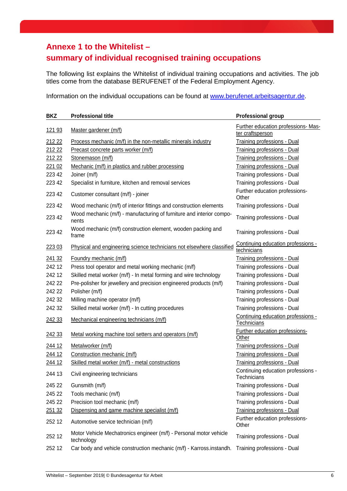## **Annexe 1 to the Whitelist –**

## **summary of individual recognised training occupations**

The following list explains the Whitelist of individual training occupations and activities. The job titles come from the database BERUFENET of the Federal Employment Agency.

Information on the individual occupations can be found at [www.berufenet.arbeitsagentur.de.](http://www.berufenet.arbeitsagentur.de/)

| <b>BKZ</b> | <b>Professional title</b>                                                        | <b>Professional group</b>                               |
|------------|----------------------------------------------------------------------------------|---------------------------------------------------------|
| 121 93     | Master gardener (m/f)                                                            | Further education professions- Mas-<br>ter craftsperson |
| 212 22     | Process mechanic (m/f) in the non-metallic minerals industry                     | Training professions - Dual                             |
| 212 22     | Precast concrete parts worker (m/f)                                              | <b>Training professions - Dual</b>                      |
| 212 22     | Stonemason (m/f)                                                                 | <b>Training professions - Dual</b>                      |
| 221 02     | Mechanic (m/f) in plastics and rubber processing                                 | <b>Training professions - Dual</b>                      |
| 223 42     | Joiner (m/f)                                                                     | Training professions - Dual                             |
| 223 42     | Specialist in furniture, kitchen and removal services                            | Training professions - Dual                             |
| 223 42     | Customer consultant (m/f) - joiner                                               | Further education professions-<br>Other                 |
| 223 42     | Wood mechanic (m/f) of interior fittings and construction elements               | Training professions - Dual                             |
| 223 42     | Wood mechanic (m/f) - manufacturing of furniture and interior compo-<br>nents    | Training professions - Dual                             |
| 223 42     | Wood mechanic (m/f) construction element, wooden packing and<br>frame            | Training professions - Dual                             |
| 223 03     | Physical and engineering science technicians not elsewhere classified            | Continuing education professions -<br>technicians       |
| 241 32     | Foundry mechanic (m/f)                                                           | Training professions - Dual                             |
| 242 12     | Press tool operator and metal working mechanic (m/f)                             | Training professions - Dual                             |
| 242 12     | Skilled metal worker (m/f) - In metal forming and wire technology                | Training professions - Dual                             |
| 242 22     | Pre-polisher for jewellery and precision engineered products (m/f)               | Training professions - Dual                             |
| 242 22     | Polisher (m/f)                                                                   | Training professions - Dual                             |
| 242 32     | Milling machine operator (m/f)                                                   | Training professions - Dual                             |
| 242 32     | Skilled metal worker (m/f) - In cutting procedures                               | Training professions - Dual                             |
| 242 33     | Mechanical engineering technicians (m/f)                                         | Continuing education professions -<br>Technicians       |
| 242 33     | Metal working machine tool setters and operators (m/f)                           | <b>Further education professions-</b><br>Other          |
| 244 12     | Metalworker (m/f)                                                                | <b>Training professions - Dual</b>                      |
| 244 12     | Construction mechanic (m/f)                                                      | <b>Training professions - Dual</b>                      |
| 244 12     | Skilled metal worker (m/f) - metal constructions                                 | <b>Training professions - Dual</b>                      |
| 244 13     | Civil engineering technicians                                                    | Continuing education professions -<br>Technicians       |
| 245 22     | Gunsmith (m/f)                                                                   | Training professions - Dual                             |
| 245 22     | Tools mechanic (m/f)                                                             | Training professions - Dual                             |
| 245 22     | Precision tool mechanic (m/f)                                                    | Training professions - Dual                             |
| 251 32     | Dispensing and game machine specialist (m/f)                                     | <b>Training professions - Dual</b>                      |
| 252 12     | Automotive service technician (m/f)                                              | Further education professions-<br>Other                 |
| 252 12     | Motor Vehicle Mechatronics engineer (m/f) - Personal motor vehicle<br>technology | Training professions - Dual                             |
| 252 12     | Car body and vehicle construction mechanic (m/f) - Karross.instandh.             | Training professions - Dual                             |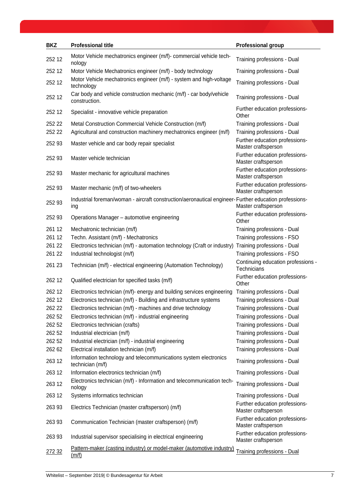| <b>BKZ</b> | <b>Professional title</b>                                                                                     | <b>Professional group</b>                             |
|------------|---------------------------------------------------------------------------------------------------------------|-------------------------------------------------------|
| 252 12     | Motor Vehicle mechatronics engineer (m/f)- commercial vehicle tech-<br>nology                                 | Training professions - Dual                           |
| 252 12     | Motor Vehicle Mechatronics engineer (m/f) - body technology                                                   | Training professions - Dual                           |
| 252 12     | Motor Vehicle mechatronics engineer (m/f) - system and high-voltage<br>technology                             | Training professions - Dual                           |
| 252 12     | Car body and vehicle construction mechanic (m/f) - car body/vehicle<br>construction.                          | Training professions - Dual                           |
| 252 12     | Specialist - innovative vehicle preparation                                                                   | Further education professions-<br>Other               |
| 252 22     | Metal Construction Commercial Vehicle Construction (m/f)                                                      | Training professions - Dual                           |
| 252 22     | Agricultural and construction machinery mechatronics engineer (m/f)                                           | Training professions - Dual                           |
| 252 93     | Master vehicle and car body repair specialist                                                                 | Further education professions-<br>Master craftsperson |
| 252 93     | Master vehicle technician                                                                                     | Further education professions-<br>Master craftsperson |
| 252 93     | Master mechanic for agricultural machines                                                                     | Further education professions-<br>Master craftsperson |
| 252 93     | Master mechanic (m/f) of two-wheelers                                                                         | Further education professions-<br>Master craftsperson |
| 252 93     | Industrial foreman/woman - aircraft construction/aeronautical engineer- Further education professions-<br>ing | Master craftsperson                                   |
| 252 93     | Operations Manager - automotive engineering                                                                   | Further education professions-<br>Other               |
| 261 12     | Mechatronic technician (m/f)                                                                                  | Training professions - Dual                           |
| 261 12     | Techn. Assistant (m/f) - Mechatronics                                                                         | Training professions - FSO                            |
| 261 22     | Electronics technician (m/f) - automation technology (Craft or industry)                                      | Training professions - Dual                           |
| 261 22     | Industrial technologist (m/f)                                                                                 | Training professions - FSO                            |
| 261 23     | Technician (m/f) - electrical engineering (Automation Technology)                                             | Continuing education professions -<br>Technicians     |
| 262 12     | Qualified electrician for specified tasks (m/f)                                                               | Further education professions-<br>Other               |
| 262 12     | Electronics technician (m/f)- energy and building services engineering                                        | Training professions - Dual                           |
| 262 12     | Electronics technician (m/f) - Building and infrastructure systems                                            | Training professions - Dual                           |
| 262 22     | Electronics technician (m/f) - machines and drive technology                                                  | Training professions - Dual                           |
| 262 52     | Electronics technician (m/f) - industrial engineering                                                         | Training professions - Dual                           |
| 262 52     | Electronics technician (crafts)                                                                               | Training professions - Dual                           |
| 262 52     | Industrial electrician (m/f)                                                                                  | Training professions - Dual                           |
| 262 52     | Industrial electrician (m/f) - industrial engineering                                                         | Training professions - Dual                           |
| 262 62     | Electrical installation technician (m/f)                                                                      | Training professions - Dual                           |
| 263 12     | Information technology and telecommunications system electronics<br>technician (m/f)                          | Training professions - Dual                           |
| 263 12     | Information electronics technician (m/f)                                                                      | Training professions - Dual                           |
| 263 12     | Electronics technician (m/f) - Information and telecommunication tech-<br>nology                              | Training professions - Dual                           |
| 263 12     | Systems informatics technician                                                                                | Training professions - Dual                           |
| 263 93     | Electrics Technician (master craftsperson) (m/f)                                                              | Further education professions-<br>Master craftsperson |
| 263 93     | Communication Technician (master craftsperson) (m/f)                                                          | Further education professions-<br>Master craftsperson |
| 263 93     | Industrial supervisor specialising in electrical engineering                                                  | Further education professions-<br>Master craftsperson |
| 272 32     | Pattern-maker (casting industry) or model-maker (automotive industry)<br>(m/f)                                | Training professions - Dual                           |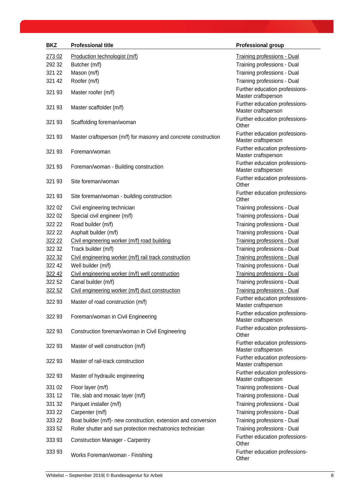| <b>BKZ</b> | <b>Professional title</b>                                       | <b>Professional group</b>                             |
|------------|-----------------------------------------------------------------|-------------------------------------------------------|
| 273 02     | Production technologist (m/f)                                   | <b>Training professions - Dual</b>                    |
| 292 32     | Butcher (m/f)                                                   | Training professions - Dual                           |
| 321 22     | Mason (m/f)                                                     | Training professions - Dual                           |
| 321 42     | Roofer (m/f)                                                    | Training professions - Dual                           |
| 321 93     | Master roofer (m/f)                                             | Further education professions-                        |
|            |                                                                 | Master craftsperson                                   |
| 321 93     | Master scaffolder (m/f)                                         | Further education professions-<br>Master craftsperson |
| 321 93     | Scaffolding foreman/woman                                       | Further education professions-<br>Other               |
| 321 93     | Master craftsperson (m/f) for masonry and concrete construction | Further education professions-<br>Master craftsperson |
| 321 93     | Foreman/woman                                                   | Further education professions-<br>Master craftsperson |
| 321 93     | Foreman/woman - Building construction                           | Further education professions-<br>Master craftsperson |
| 321 93     | Site foreman/woman                                              | Further education professions-<br>Other               |
| 321 93     | Site foreman/woman - building construction                      | Further education professions-<br>Other               |
| 322 02     | Civil engineering technician                                    | Training professions - Dual                           |
| 322 02     | Special civil engineer (m/f)                                    | Training professions - Dual                           |
| 322 22     | Road builder (m/f)                                              | Training professions - Dual                           |
| 322 22     | Asphalt builder (m/f)                                           | Training professions - Dual                           |
| 322 22     | Civil engineering worker (m/f) road building                    | <b>Training professions - Dual</b>                    |
| 322 32     | Track builder (m/f)                                             | Training professions - Dual                           |
| 322 32     | Civil engineering worker (m/f) rail track construction          | <b>Training professions - Dual</b>                    |
| 322 42     | Well builder (m/f)                                              | Training professions - Dual                           |
| 322 42     | Civil engineering worker (m/f) well construction                | <b>Training professions - Dual</b>                    |
| 322 52     | Canal builder (m/f)                                             | Training professions - Dual                           |
| 322 52     | Civil engineering worker (m/f) duct construction                | <b>Training professions - Dual</b>                    |
| 322 93     | Master of road construction (m/f)                               | Further education professions-<br>Master craftsperson |
| 322 93     | Foreman/woman in Civil Engineering                              | Further education professions-<br>Master craftsperson |
| 322 93     | Construction foreman/woman in Civil Engineering                 | Further education professions-<br>Other               |
| 322 93     | Master of well construction (m/f)                               | Further education professions-<br>Master craftsperson |
| 322 93     | Master of rail-track construction                               | Further education professions-<br>Master craftsperson |
| 322 93     | Master of hydraulic engineering                                 | Further education professions-<br>Master craftsperson |
| 331 02     | Floor layer (m/f)                                               | Training professions - Dual                           |
| 331 12     | Tile, slab and mosaic layer (m/f)                               | Training professions - Dual                           |
| 331 32     | Parquet installer (m/f)                                         | Training professions - Dual                           |
| 333 22     | Carpenter (m/f)                                                 | Training professions - Dual                           |
| 333 22     | Boat builder (m/f)- new construction, extension and conversion  | Training professions - Dual                           |
| 333 52     | Roller shutter and sun protection mechatronics technician       | Training professions - Dual                           |
| 33393      | <b>Construction Manager - Carpentry</b>                         | Further education professions-<br>Other               |
| 33393      | Works Foreman/woman - Finishing                                 | Further education professions-<br>Other               |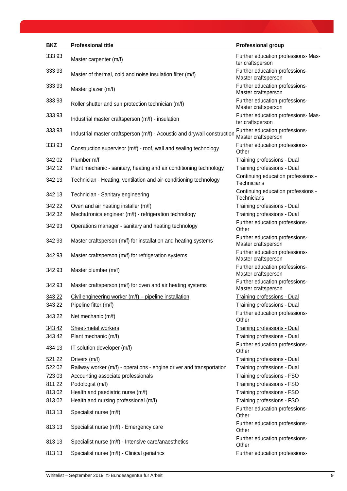| <b>BKZ</b> | <b>Professional title</b>                                                | <b>Professional group</b>                                |
|------------|--------------------------------------------------------------------------|----------------------------------------------------------|
| 33393      | Master carpenter (m/f)                                                   | Further education professions- Mas-<br>ter craftsperson  |
| 33393      | Master of thermal, cold and noise insulation filter (m/f)                | Further education professions-<br>Master craftsperson    |
| 333 93     | Master glazer (m/f)                                                      | Further education professions-<br>Master craftsperson    |
| 333 93     | Roller shutter and sun protection technician (m/f)                       | Further education professions-<br>Master craftsperson    |
| 33393      | Industrial master craftsperson (m/f) - insulation                        | Further education professions- Mas-<br>ter craftsperson  |
| 333 93     | Industrial master craftsperson (m/f) - Acoustic and drywall construction | Further education professions-<br>Master craftsperson    |
| 33393      | Construction supervisor (m/f) - roof, wall and sealing technology        | Further education professions-<br>Other                  |
| 342 02     | Plumber m/f                                                              | Training professions - Dual                              |
| 342 12     | Plant mechanic - sanitary, heating and air conditioning technology       | Training professions - Dual                              |
| 342 13     | Technician - Heating, ventilation and air-conditioning technology        | Continuing education professions -<br><b>Technicians</b> |
| 342 13     | Technician - Sanitary engineering                                        | Continuing education professions -<br><b>Technicians</b> |
| 342 22     | Oven and air heating installer (m/f)                                     | Training professions - Dual                              |
| 342 32     | Mechatronics engineer (m/f) - refrigeration technology                   | Training professions - Dual                              |
| 342 93     | Operations manager - sanitary and heating technology                     | Further education professions-<br>Other                  |
| 342 93     | Master craftsperson (m/f) for installation and heating systems           | Further education professions-<br>Master craftsperson    |
| 342 93     | Master craftsperson (m/f) for refrigeration systems                      | Further education professions-<br>Master craftsperson    |
| 342 93     | Master plumber (m/f)                                                     | Further education professions-<br>Master craftsperson    |
| 342 93     | Master craftsperson (m/f) for oven and air heating systems               | Further education professions-<br>Master craftsperson    |
| 343 22     | Civil engineering worker $(m/f)$ – pipeline installation                 | Training professions - Dual                              |
| 343 22     | Pipeline fitter (m/f)                                                    | Training professions - Dual                              |
| 343 22     | Net mechanic (m/f)                                                       | Further education professions-<br>Other                  |
| 343 42     | Sheet-metal workers                                                      | <b>Training professions - Dual</b>                       |
| 343 42     | Plant mechanic (m/f)                                                     | <b>Training professions - Dual</b>                       |
| 434 13     | IT solution developer (m/f)                                              | Further education professions-<br>Other                  |
| 521 22     | Drivers (m/f)                                                            | <b>Training professions - Dual</b>                       |
| 522 02     | Railway worker (m/f) - operations - engine driver and transportation     | Training professions - Dual                              |
| 723 03     | Accounting associate professionals                                       | Training professions - FSO                               |
| 811 22     | Podologist (m/f)                                                         | Training professions - FSO                               |
| 81302      | Health and paediatric nurse (m/f)                                        | Training professions - FSO                               |
| 81302      | Health and nursing professional (m/f)                                    | Training professions - FSO                               |
| 813 13     | Specialist nurse (m/f)                                                   | Further education professions-<br>Other                  |
| 813 13     | Specialist nurse (m/f) - Emergency care                                  | Further education professions-<br>Other                  |
| 813 13     | Specialist nurse (m/f) - Intensive care/anaesthetics                     | Further education professions-<br>Other                  |
| 813 13     | Specialist nurse (m/f) - Clinical geriatrics                             | Further education professions-                           |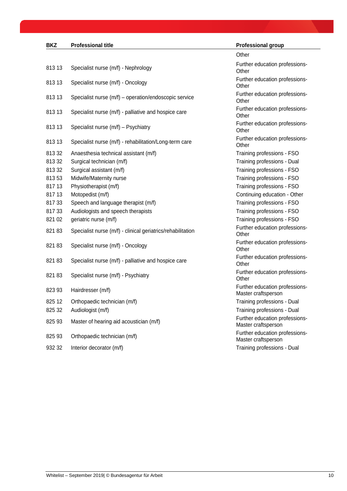## **BKZ Professional title Professional group**

| 813 13 | Specialist nurse (m/f) - Nephrology                         |
|--------|-------------------------------------------------------------|
| 813 13 | Specialist nurse (m/f) - Oncology                           |
| 813 13 | Specialist nurse (m/f) - operation/endoscopic service       |
| 813 13 | Specialist nurse (m/f) - palliative and hospice care        |
| 813 13 | Specialist nurse (m/f) - Psychiatry                         |
| 813 13 | Specialist nurse (m/f) - rehabilitation/Long-term care      |
| 81332  | Anaesthesia technical assistant (m/f)                       |
| 81332  | Surgical technician (m/f)                                   |
| 81332  | Surgical assistant (m/f)                                    |
| 81353  | Midwife/Maternity nurse                                     |
| 817 13 | Physiotherapist (m/f)                                       |
| 817 13 | Motopedist (m/f)                                            |
| 81733  | Speech and language therapist (m/f)                         |
| 81733  | Audiologists and speech therapists                          |
| 821 02 | geriatric nurse (m/f)                                       |
| 82183  | Specialist nurse (m/f) - clinical geriatrics/rehabilitation |
| 82183  | Specialist nurse (m/f) - Oncology                           |
| 82183  | Specialist nurse (m/f) - palliative and hospice care        |
| 82183  | Specialist nurse (m/f) - Psychiatry                         |
| 82393  | Hairdresser (m/f)                                           |
| 825 12 | Orthopaedic technician (m/f)                                |
| 825 32 | Audiologist (m/f)                                           |
| 825 93 | Master of hearing aid acoustician (m/f)                     |
| 82593  | Orthopaedic technician (m/f)                                |
| 932 32 | Interior decorator (m/f)                                    |

**Other** Further education professions-**Other** Further education professions-**Other** Further education professions-**Other** Further education professions-**Other** Further education professions-**Other** Further education professions-**Other** Training professions - FSO Training professions - Dual Training professions - FSO Training professions - FSO Training professions - FSO Continuing education - Other Training professions - FSO Training professions - FSO Training professions - FSO Further education professions-**Other** Further education professions-**Other** Further education professions-**Other** Further education professions-**Other** Further education professions-Master craftsperson Training professions - Dual Training professions - Dual Further education professions-Master craftsperson Further education professions-Master craftsperson Training professions - Dual